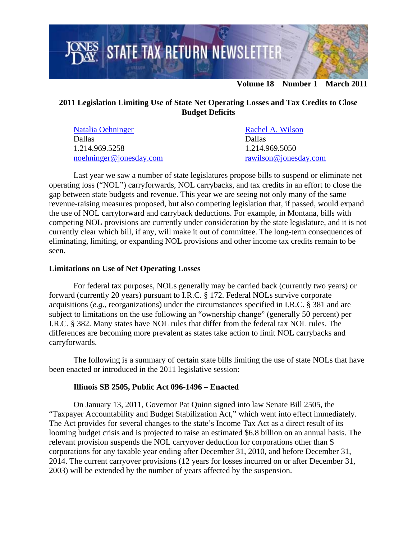

# **2011 Legislation Limiting Use of State Net Operating Losses and Tax Credits to Close Budget Deficits**

| Natalia Oehninger       | Rachel A. Wilson      |
|-------------------------|-----------------------|
| <b>Dallas</b>           | <b>Dallas</b>         |
| 1.214.969.5258          | 1.214.969.5050        |
| noehninger@jonesday.com | rawilson@jonesday.com |

Last year we saw a number of state legislatures propose bills to suspend or eliminate net operating loss ("NOL") carryforwards, NOL carrybacks, and tax credits in an effort to close the gap between state budgets and revenue. This year we are seeing not only many of the same revenue-raising measures proposed, but also competing legislation that, if passed, would expand the use of NOL carryforward and carryback deductions. For example, in Montana, bills with competing NOL provisions are currently under consideration by the state legislature, and it is not currently clear which bill, if any, will make it out of committee. The long-term consequences of eliminating, limiting, or expanding NOL provisions and other income tax credits remain to be seen.

#### **Limitations on Use of Net Operating Losses**

For federal tax purposes, NOLs generally may be carried back (currently two years) or forward (currently 20 years) pursuant to I.R.C. § 172. Federal NOLs survive corporate acquisitions (*e.g.*, reorganizations) under the circumstances specified in I.R.C. § 381 and are subject to limitations on the use following an "ownership change" (generally 50 percent) per I.R.C. § 382. Many states have NOL rules that differ from the federal tax NOL rules. The differences are becoming more prevalent as states take action to limit NOL carrybacks and carryforwards.

The following is a summary of certain state bills limiting the use of state NOLs that have been enacted or introduced in the 2011 legislative session:

#### **Illinois SB 2505, Public Act 096-1496 – Enacted**

On January 13, 2011, Governor Pat Quinn signed into law Senate Bill 2505, the "Taxpayer Accountability and Budget Stabilization Act," which went into effect immediately. The Act provides for several changes to the state's Income Tax Act as a direct result of its looming budget crisis and is projected to raise an estimated \$6.8 billion on an annual basis. The relevant provision suspends the NOL carryover deduction for corporations other than S corporations for any taxable year ending after December 31, 2010, and before December 31, 2014. The current carryover provisions (12 years for losses incurred on or after December 31, 2003) will be extended by the number of years affected by the suspension.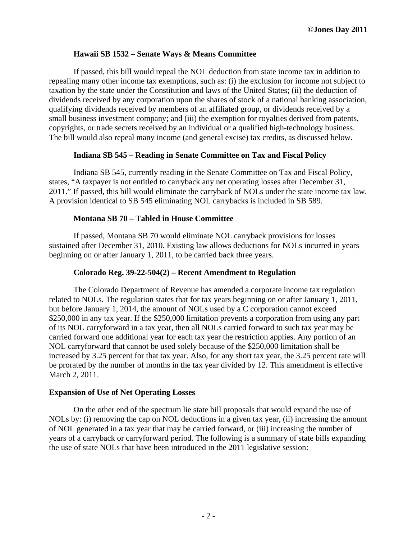### **Hawaii SB 1532 – Senate Ways & Means Committee**

If passed, this bill would repeal the NOL deduction from state income tax in addition to repealing many other income tax exemptions, such as: (i) the exclusion for income not subject to taxation by the state under the Constitution and laws of the United States; (ii) the deduction of dividends received by any corporation upon the shares of stock of a national banking association, qualifying dividends received by members of an affiliated group, or dividends received by a small business investment company; and (iii) the exemption for royalties derived from patents, copyrights, or trade secrets received by an individual or a qualified high-technology business. The bill would also repeal many income (and general excise) tax credits, as discussed below.

### **Indiana SB 545 – Reading in Senate Committee on Tax and Fiscal Policy**

Indiana SB 545, currently reading in the Senate Committee on Tax and Fiscal Policy, states, "A taxpayer is not entitled to carryback any net operating losses after December 31, 2011." If passed, this bill would eliminate the carryback of NOLs under the state income tax law. A provision identical to SB 545 eliminating NOL carrybacks is included in SB 589.

### **Montana SB 70 – Tabled in House Committee**

If passed, Montana SB 70 would eliminate NOL carryback provisions for losses sustained after December 31, 2010. Existing law allows deductions for NOLs incurred in years beginning on or after January 1, 2011, to be carried back three years.

### **Colorado Reg. 39-22-504(2) – Recent Amendment to Regulation**

The Colorado Department of Revenue has amended a corporate income tax regulation related to NOLs. The regulation states that for tax years beginning on or after January 1, 2011, but before January 1, 2014, the amount of NOLs used by a C corporation cannot exceed \$250,000 in any tax year. If the \$250,000 limitation prevents a corporation from using any part of its NOL carryforward in a tax year, then all NOLs carried forward to such tax year may be carried forward one additional year for each tax year the restriction applies. Any portion of an NOL carryforward that cannot be used solely because of the \$250,000 limitation shall be increased by 3.25 percent for that tax year. Also, for any short tax year, the 3.25 percent rate will be prorated by the number of months in the tax year divided by 12. This amendment is effective March 2, 2011.

#### **Expansion of Use of Net Operating Losses**

On the other end of the spectrum lie state bill proposals that would expand the use of NOLs by: (i) removing the cap on NOL deductions in a given tax year, (ii) increasing the amount of NOL generated in a tax year that may be carried forward, or (iii) increasing the number of years of a carryback or carryforward period. The following is a summary of state bills expanding the use of state NOLs that have been introduced in the 2011 legislative session: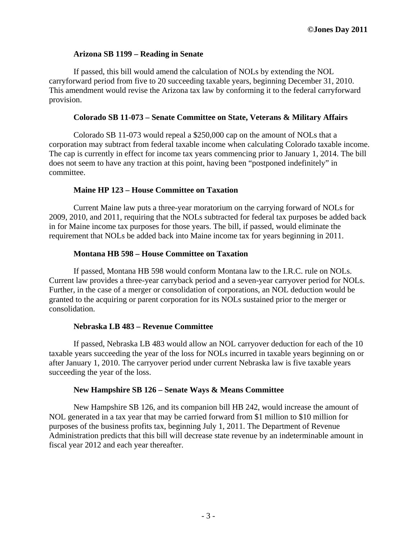### **Arizona SB 1199 – Reading in Senate**

If passed, this bill would amend the calculation of NOLs by extending the NOL carryforward period from five to 20 succeeding taxable years, beginning December 31, 2010. This amendment would revise the Arizona tax law by conforming it to the federal carryforward provision.

#### **Colorado SB 11-073 – Senate Committee on State, Veterans & Military Affairs**

Colorado SB 11-073 would repeal a \$250,000 cap on the amount of NOLs that a corporation may subtract from federal taxable income when calculating Colorado taxable income. The cap is currently in effect for income tax years commencing prior to January 1, 2014. The bill does not seem to have any traction at this point, having been "postponed indefinitely" in committee.

### **Maine HP 123 – House Committee on Taxation**

Current Maine law puts a three-year moratorium on the carrying forward of NOLs for 2009, 2010, and 2011, requiring that the NOLs subtracted for federal tax purposes be added back in for Maine income tax purposes for those years. The bill, if passed, would eliminate the requirement that NOLs be added back into Maine income tax for years beginning in 2011.

### **Montana HB 598 – House Committee on Taxation**

If passed, Montana HB 598 would conform Montana law to the I.R.C. rule on NOLs. Current law provides a three-year carryback period and a seven-year carryover period for NOLs. Further, in the case of a merger or consolidation of corporations, an NOL deduction would be granted to the acquiring or parent corporation for its NOLs sustained prior to the merger or consolidation.

## **Nebraska LB 483 – Revenue Committee**

If passed, Nebraska LB 483 would allow an NOL carryover deduction for each of the 10 taxable years succeeding the year of the loss for NOLs incurred in taxable years beginning on or after January 1, 2010. The carryover period under current Nebraska law is five taxable years succeeding the year of the loss.

#### **New Hampshire SB 126 – Senate Ways & Means Committee**

New Hampshire SB 126, and its companion bill HB 242, would increase the amount of NOL generated in a tax year that may be carried forward from \$1 million to \$10 million for purposes of the business profits tax, beginning July 1, 2011. The Department of Revenue Administration predicts that this bill will decrease state revenue by an indeterminable amount in fiscal year 2012 and each year thereafter.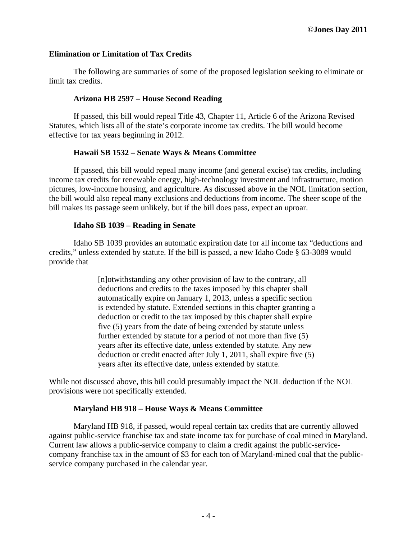### **Elimination or Limitation of Tax Credits**

The following are summaries of some of the proposed legislation seeking to eliminate or limit tax credits.

#### **Arizona HB 2597 – House Second Reading**

If passed, this bill would repeal Title 43, Chapter 11, Article 6 of the Arizona Revised Statutes, which lists all of the state's corporate income tax credits. The bill would become effective for tax years beginning in 2012.

### **Hawaii SB 1532 – Senate Ways & Means Committee**

If passed, this bill would repeal many income (and general excise) tax credits, including income tax credits for renewable energy, high-technology investment and infrastructure, motion pictures, low-income housing, and agriculture. As discussed above in the NOL limitation section, the bill would also repeal many exclusions and deductions from income. The sheer scope of the bill makes its passage seem unlikely, but if the bill does pass, expect an uproar.

#### **Idaho SB 1039 – Reading in Senate**

Idaho SB 1039 provides an automatic expiration date for all income tax "deductions and credits," unless extended by statute. If the bill is passed, a new Idaho Code § 63-3089 would provide that

> [n]otwithstanding any other provision of law to the contrary, all deductions and credits to the taxes imposed by this chapter shall automatically expire on January 1, 2013, unless a specific section is extended by statute. Extended sections in this chapter granting a deduction or credit to the tax imposed by this chapter shall expire five (5) years from the date of being extended by statute unless further extended by statute for a period of not more than five (5) years after its effective date, unless extended by statute. Any new deduction or credit enacted after July 1, 2011, shall expire five (5) years after its effective date, unless extended by statute.

While not discussed above, this bill could presumably impact the NOL deduction if the NOL provisions were not specifically extended.

#### **Maryland HB 918 – House Ways & Means Committee**

Maryland HB 918, if passed, would repeal certain tax credits that are currently allowed against public-service franchise tax and state income tax for purchase of coal mined in Maryland. Current law allows a public-service company to claim a credit against the public-servicecompany franchise tax in the amount of \$3 for each ton of Maryland-mined coal that the publicservice company purchased in the calendar year.